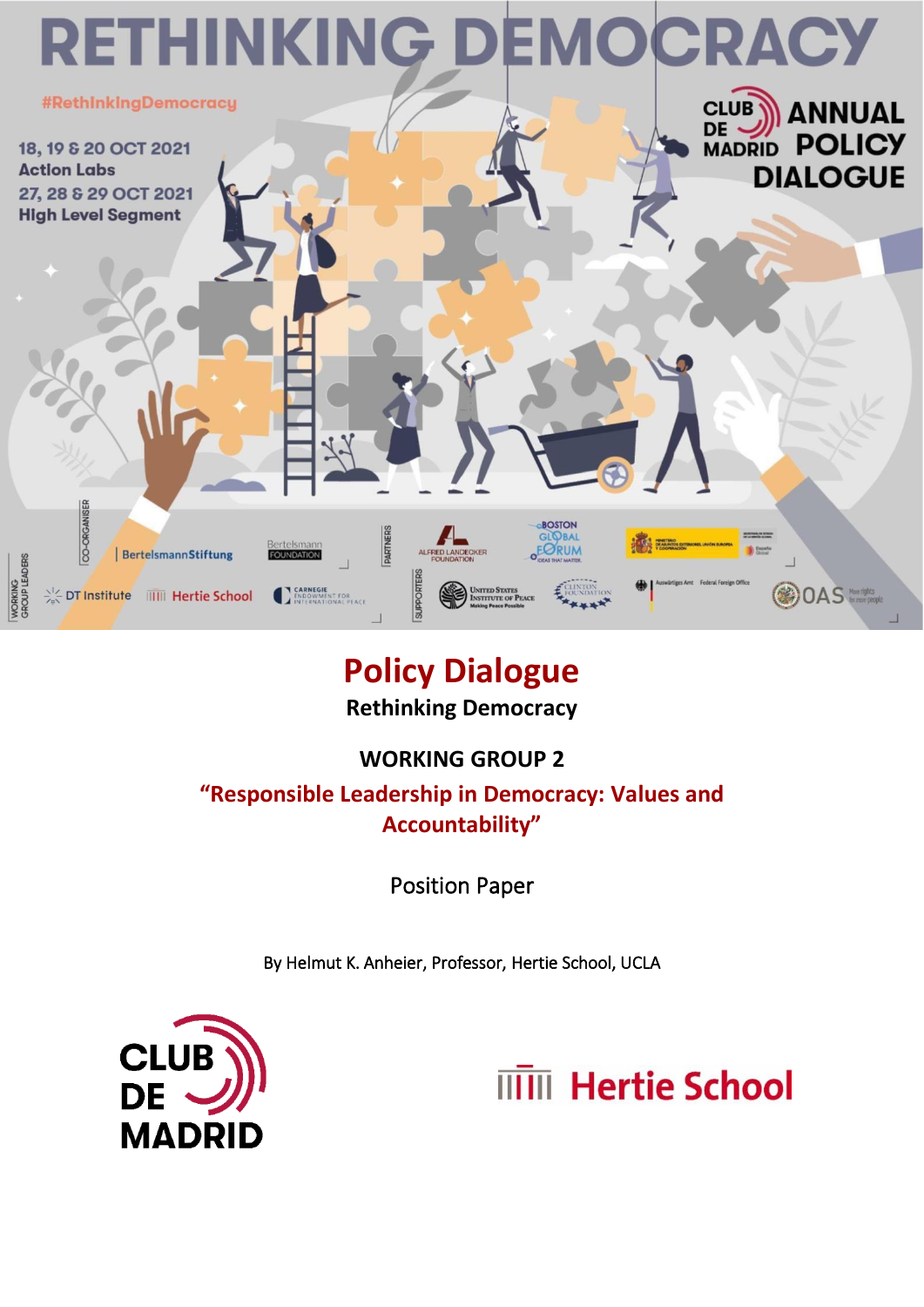

# **Policy Dialogue Rethinking Democracy**

## **WORKING GROUP 2**

**"Responsible Leadership in Democracy: Values and Accountability"**

Position Paper

By Helmut K. Anheier, Professor, Hertie School, UCLA



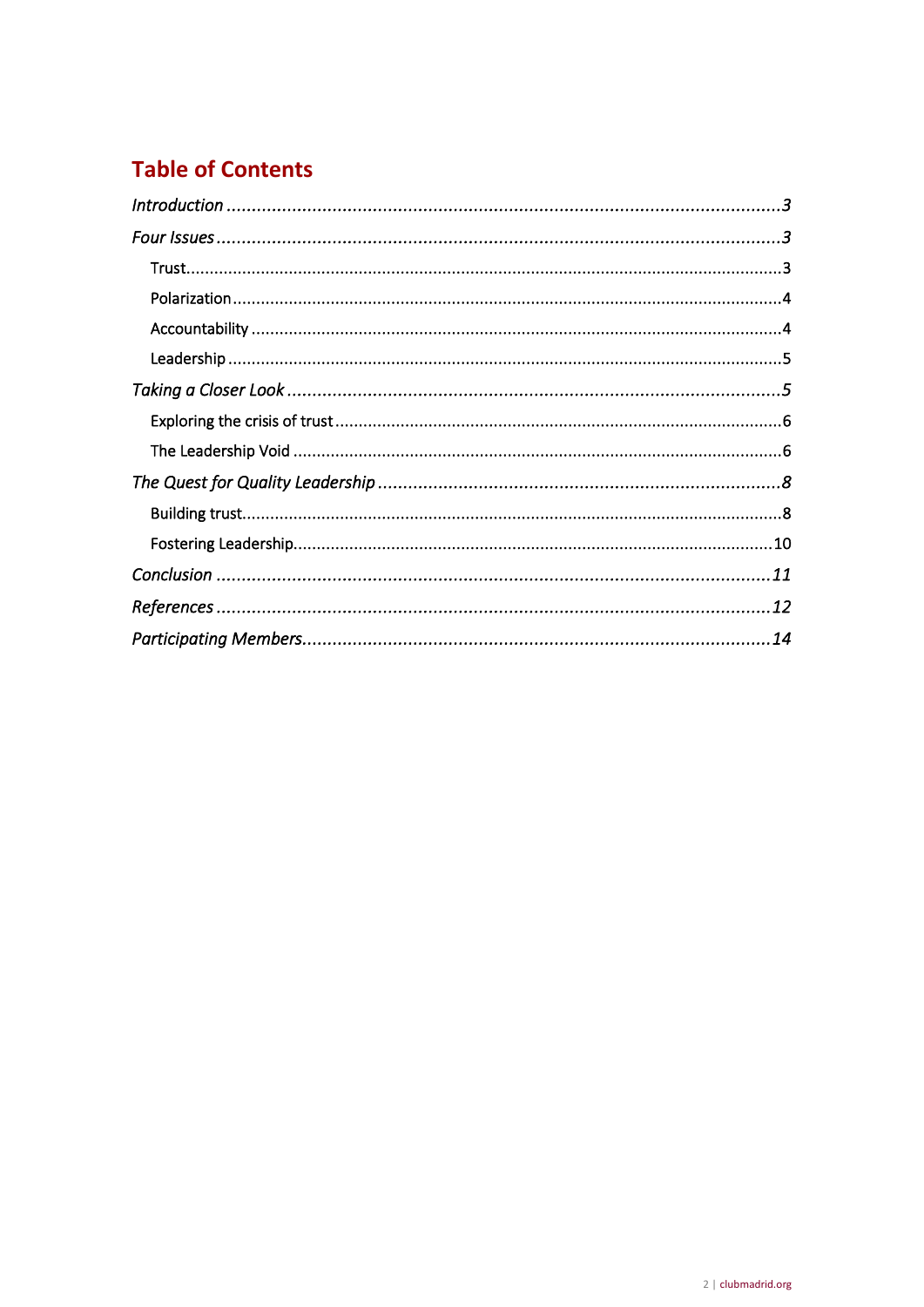## **Table of Contents**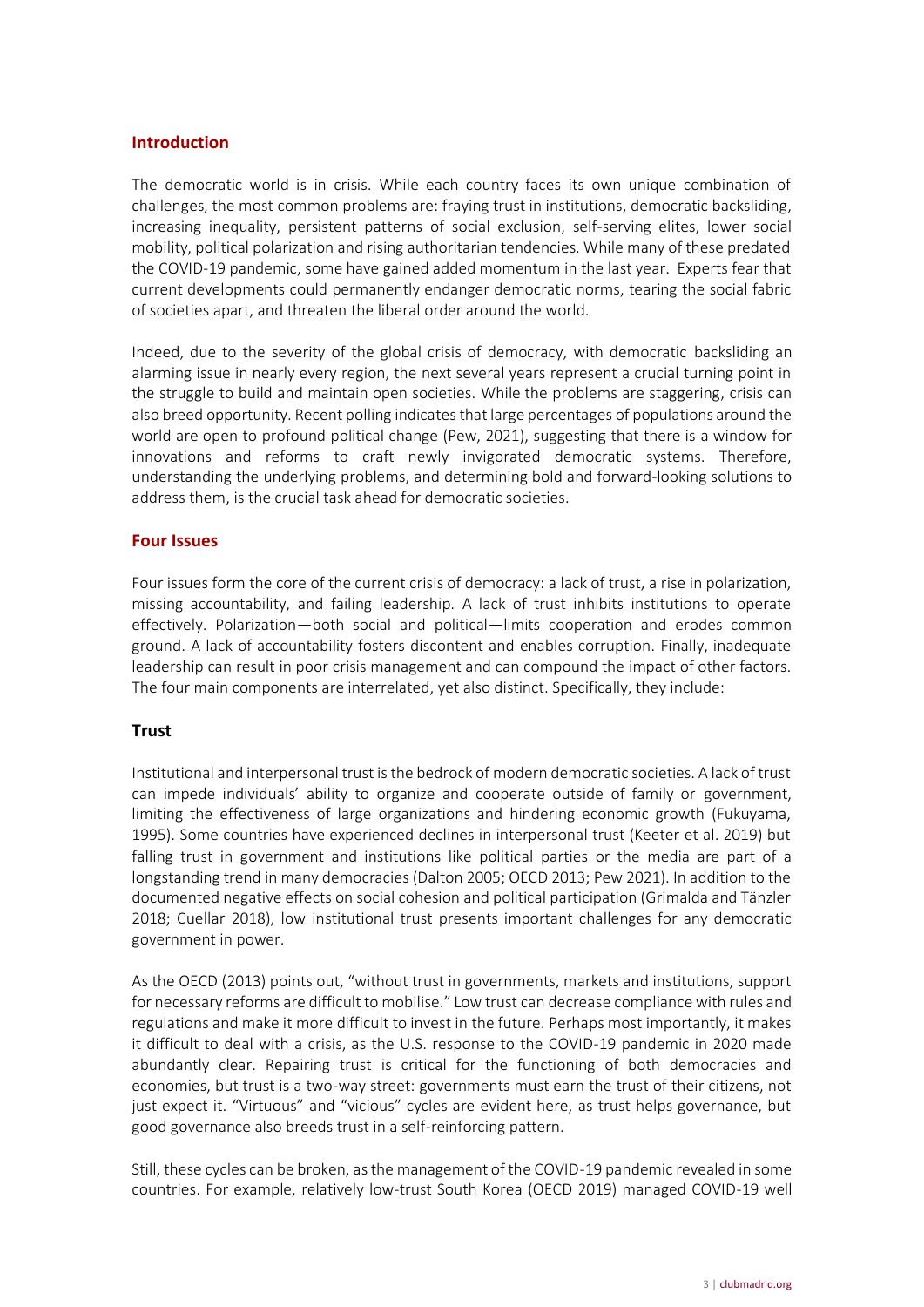#### <span id="page-2-0"></span>**Introduction**

The democratic world is in crisis. While each country faces its own unique combination of challenges, the most common problems are: fraying trust in institutions, democratic backsliding, increasing inequality, persistent patterns of social exclusion, self-serving elites, lower social mobility, political polarization and rising authoritarian tendencies. While many of these predated the COVID-19 pandemic, some have gained added momentum in the last year. Experts fear that current developments could permanently endanger democratic norms, tearing the social fabric of societies apart, and threaten the liberal order around the world.

Indeed, due to the severity of the global crisis of democracy, with democratic backsliding an alarming issue in nearly every region, the next several years represent a crucial turning point in the struggle to build and maintain open societies. While the problems are staggering, crisis can also breed opportunity. Recent polling indicates that large percentages of populations around the world are open to profound political change (Pew, 2021), suggesting that there is a window for innovations and reforms to craft newly invigorated democratic systems. Therefore, understanding the underlying problems, and determining bold and forward-looking solutions to address them, is the crucial task ahead for democratic societies.

#### <span id="page-2-1"></span>**Four Issues**

Four issues form the core of the current crisis of democracy: a lack of trust, a rise in polarization, missing accountability, and failing leadership. A lack of trust inhibits institutions to operate effectively. Polarization—both social and political—limits cooperation and erodes common ground. A lack of accountability fosters discontent and enables corruption. Finally, inadequate leadership can result in poor crisis management and can compound the impact of other factors. The four main components are interrelated, yet also distinct. Specifically, they include:

#### <span id="page-2-2"></span>**Trust**

Institutional and interpersonal trust is the bedrock of modern democratic societies. A lack of trust can impede individuals' ability to organize and cooperate outside of family or government, limiting the effectiveness of large organizations and hindering economic growth (Fukuyama, 1995). Some countries have experienced declines in interpersonal trust (Keeter et al. 2019) but falling trust in government and institutions like political parties or the media are part of a longstanding trend in many democracies (Dalton 2005; OECD 2013; Pew 2021). In addition to the documented negative effects on social cohesion and political participation (Grimalda and Tänzler 2018; Cuellar 2018), low institutional trust presents important challenges for any democratic government in power.

As the OECD (2013) points out, "without trust in governments, markets and institutions, support for necessary reforms are difficult to mobilise." Low trust can decrease compliance with rules and regulations and make it more difficult to invest in the future. Perhaps most importantly, it makes it difficult to deal with a crisis, as the U.S. response to the COVID-19 pandemic in 2020 made abundantly clear. Repairing trust is critical for the functioning of both democracies and economies, but trust is a two-way street: governments must earn the trust of their citizens, not just expect it. "Virtuous" and "vicious" cycles are evident here, as trust helps governance, but good governance also breeds trust in a self-reinforcing pattern.

Still, these cycles can be broken, as the management of the COVID-19 pandemic revealed in some countries. For example, relatively low-trust South Korea (OECD 2019) managed COVID-19 well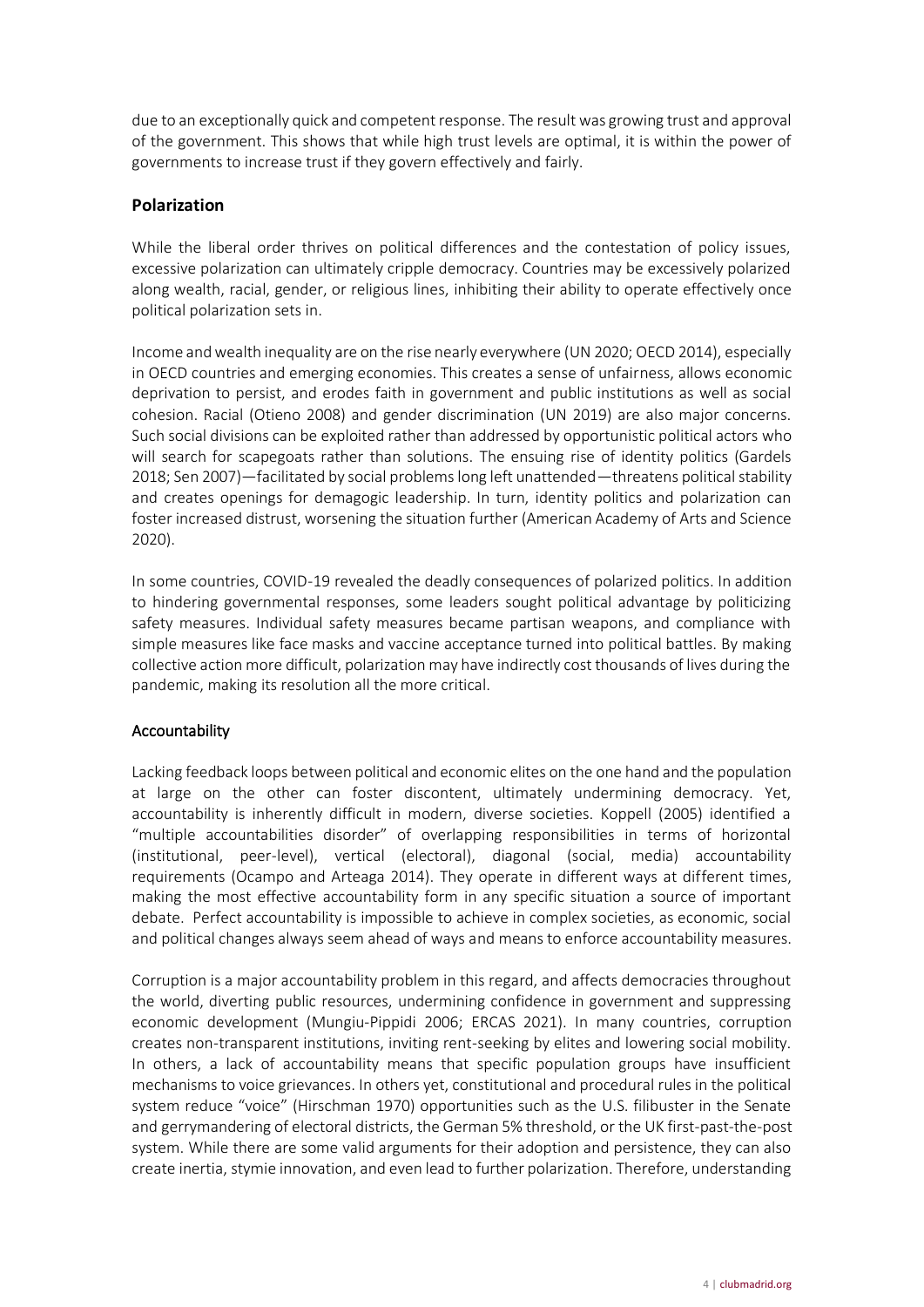due to an exceptionally quick and competent response. The result was growing trust and approval of the government. This shows that while high trust levels are optimal, it is within the power of governments to increase trust if they govern effectively and fairly.

## <span id="page-3-0"></span>**Polarization**

While the liberal order thrives on political differences and the contestation of policy issues, excessive polarization can ultimately cripple democracy. Countries may be excessively polarized along wealth, racial, gender, or religious lines, inhibiting their ability to operate effectively once political polarization sets in.

Income and wealth inequality are on the rise nearly everywhere (UN 2020; OECD 2014), especially in OECD countries and emerging economies. This creates a sense of unfairness, allows economic deprivation to persist, and erodes faith in government and public institutions as well as social cohesion. Racial (Otieno 2008) and gender discrimination (UN 2019) are also major concerns. Such social divisions can be exploited rather than addressed by opportunistic political actors who will search for scapegoats rather than solutions. The ensuing rise of identity politics (Gardels 2018; Sen 2007)—facilitated by social problems long left unattended—threatens political stability and creates openings for demagogic leadership. In turn, identity politics and polarization can foster increased distrust, worsening the situation further (American Academy of Arts and Science 2020).

In some countries, COVID-19 revealed the deadly consequences of polarized politics. In addition to hindering governmental responses, some leaders sought political advantage by politicizing safety measures. Individual safety measures became partisan weapons, and compliance with simple measures like face masks and vaccine acceptance turned into political battles. By making collective action more difficult, polarization may have indirectly cost thousands of lives during the pandemic, making its resolution all the more critical.

## <span id="page-3-1"></span>Accountability

Lacking feedback loops between political and economic elites on the one hand and the population at large on the other can foster discontent, ultimately undermining democracy. Yet, accountability is inherently difficult in modern, diverse societies. Koppell (2005) identified a "multiple accountabilities disorder" of overlapping responsibilities in terms of horizontal (institutional, peer-level), vertical (electoral), diagonal (social, media) accountability requirements (Ocampo and Arteaga 2014). They operate in different ways at different times, making the most effective accountability form in any specific situation a source of important debate. Perfect accountability is impossible to achieve in complex societies, as economic, social and political changes always seem ahead of ways and means to enforce accountability measures.

Corruption is a major accountability problem in this regard, and affects democracies throughout the world, diverting public resources, undermining confidence in government and suppressing economic development (Mungiu-Pippidi 2006; ERCAS 2021). In many countries, corruption creates non-transparent institutions, inviting rent-seeking by elites and lowering social mobility. In others, a lack of accountability means that specific population groups have insufficient mechanisms to voice grievances. In others yet, constitutional and procedural rules in the political system reduce "voice" (Hirschman 1970) opportunities such as the U.S. filibuster in the Senate and gerrymandering of electoral districts, the German 5% threshold, or the UK first-past-the-post system. While there are some valid arguments for their adoption and persistence, they can also create inertia, stymie innovation, and even lead to further polarization. Therefore, understanding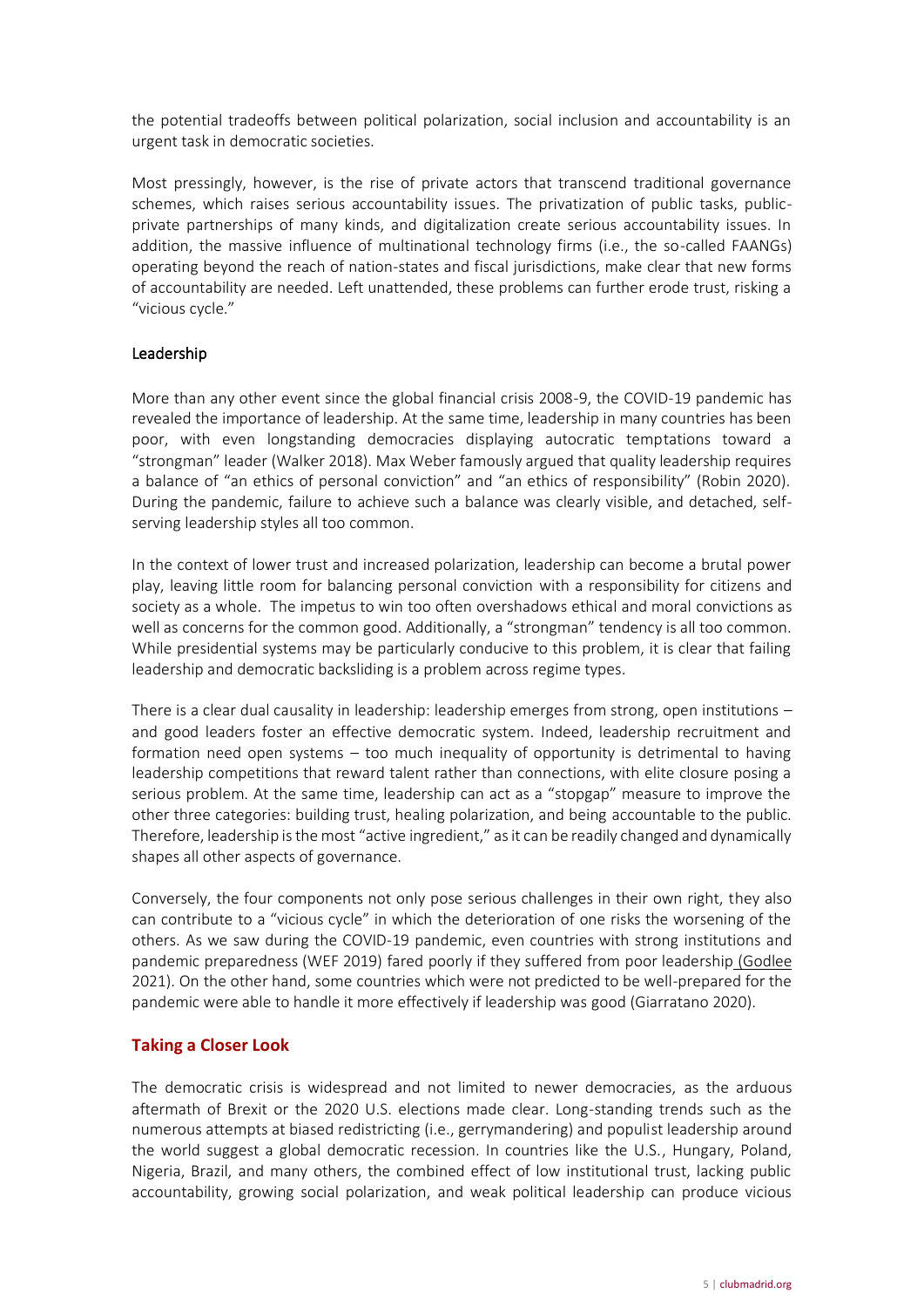the potential tradeoffs between political polarization, social inclusion and accountability is an urgent task in democratic societies.

Most pressingly, however, is the rise of private actors that transcend traditional governance schemes, which raises serious accountability issues. The privatization of public tasks, publicprivate partnerships of many kinds, and digitalization create serious accountability issues. In addition, the massive influence of multinational technology firms (i.e., the so-called FAANGs) operating beyond the reach of nation-states and fiscal jurisdictions, make clear that new forms of accountability are needed. Left unattended, these problems can further erode trust, risking a "vicious cycle."

#### <span id="page-4-0"></span>Leadership

More than any other event since the global financial crisis 2008-9, the COVID-19 pandemic has revealed the importance of leadership. At the same time, leadership in many countries has been poor, with even longstanding democracies displaying autocratic temptations toward a "strongman" leader (Walker 2018). Max Weber famously argued that quality leadership requires a balance of "an ethics of personal conviction" and "an ethics of responsibility" (Robin 2020). During the pandemic, failure to achieve such a balance was clearly visible, and detached, selfserving leadership styles all too common.

In the context of lower trust and increased polarization, leadership can become a brutal power play, leaving little room for balancing personal conviction with a responsibility for citizens and society as a whole. The impetus to win too often overshadows ethical and moral convictions as well as concerns for the common good. Additionally, a "strongman" tendency is all too common. While presidential systems may be particularly conducive to this problem, it is clear that failing leadership and democratic backsliding is a problem across regime types.

There is a clear dual causality in leadership: leadership emerges from strong, open institutions and good leaders foster an effective democratic system. Indeed, leadership recruitment and formation need open systems – too much inequality of opportunity is detrimental to having leadership competitions that reward talent rather than connections, with elite closure posing a serious problem. At the same time, leadership can act as a "stopgap" measure to improve the other three categories: building trust, healing polarization, and being accountable to the public. Therefore, leadership is the most "active ingredient," as it can be readily changed and dynamically shapes all other aspects of governance.

Conversely, the four components not only pose serious challenges in their own right, they also can contribute to a "vicious cycle" in which the deterioration of one risks the worsening of the others. As we saw during the COVID-19 pandemic, even countries with strong institutions and pandemic preparedness (WEF 2019) fared poorly if they suffered from poor leadership (Godlee 2021). On the other hand, some countries which were not predicted to be well-prepared for the pandemic were able to handle it more effectively if leadership was good (Giarratano 2020).

## <span id="page-4-1"></span>**Taking a Closer Look**

The democratic crisis is widespread and not limited to newer democracies, as the arduous aftermath of Brexit or the 2020 U.S. elections made clear. Long-standing trends such as the numerous attempts at biased redistricting (i.e., gerrymandering) and populist leadership around the world suggest a global democratic recession. In countries like the U.S., Hungary, Poland, Nigeria, Brazil, and many others, the combined effect of low institutional trust, lacking public accountability, growing social polarization, and weak political leadership can produce vicious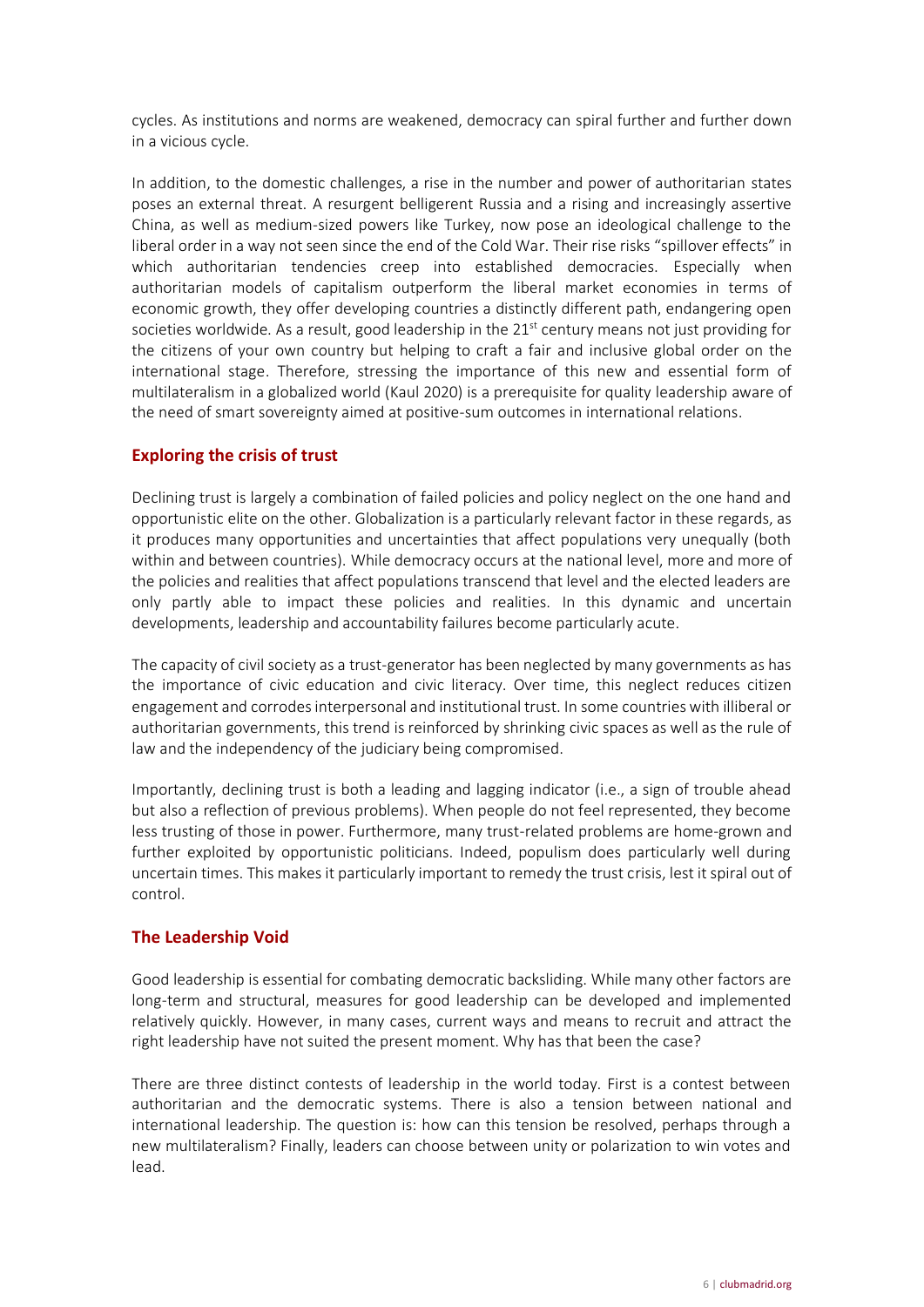cycles. As institutions and norms are weakened, democracy can spiral further and further down in a vicious cycle.

In addition, to the domestic challenges, a rise in the number and power of authoritarian states poses an external threat. A resurgent belligerent Russia and a rising and increasingly assertive China, as well as medium-sized powers like Turkey, now pose an ideological challenge to the liberal order in a way not seen since the end of the Cold War. Their rise risks "spillover effects" in which authoritarian tendencies creep into established democracies. Especially when authoritarian models of capitalism outperform the liberal market economies in terms of economic growth, they offer developing countries a distinctly different path, endangering open societies worldwide. As a result, good leadership in the 21<sup>st</sup> century means not just providing for the citizens of your own country but helping to craft a fair and inclusive global order on the international stage. Therefore, stressing the importance of this new and essential form of multilateralism in a globalized world (Kaul 2020) is a prerequisite for quality leadership aware of the need of smart sovereignty aimed at positive-sum outcomes in international relations.

## <span id="page-5-0"></span>**Exploring the crisis of trust**

Declining trust is largely a combination of failed policies and policy neglect on the one hand and opportunistic elite on the other. Globalization is a particularly relevant factor in these regards, as it produces many opportunities and uncertainties that affect populations very unequally (both within and between countries). While democracy occurs at the national level, more and more of the policies and realities that affect populations transcend that level and the elected leaders are only partly able to impact these policies and realities. In this dynamic and uncertain developments, leadership and accountability failures become particularly acute.

The capacity of civil society as a trust-generator has been neglected by many governments as has the importance of civic education and civic literacy. Over time, this neglect reduces citizen engagement and corrodes interpersonal and institutional trust. In some countries with illiberal or authoritarian governments, this trend is reinforced by shrinking civic spaces as well as the rule of law and the independency of the judiciary being compromised.

Importantly, declining trust is both a leading and lagging indicator (i.e., a sign of trouble ahead but also a reflection of previous problems). When people do not feel represented, they become less trusting of those in power. Furthermore, many trust-related problems are home-grown and further exploited by opportunistic politicians. Indeed, populism does particularly well during uncertain times. This makes it particularly important to remedy the trust crisis, lest it spiral out of control.

#### <span id="page-5-1"></span>**The Leadership Void**

Good leadership is essential for combating democratic backsliding. While many other factors are long-term and structural, measures for good leadership can be developed and implemented relatively quickly. However, in many cases, current ways and means to recruit and attract the right leadership have not suited the present moment. Why has that been the case?

There are three distinct contests of leadership in the world today. First is a contest between authoritarian and the democratic systems. There is also a tension between national and international leadership. The question is: how can this tension be resolved, perhaps through a new multilateralism? Finally, leaders can choose between unity or polarization to win votes and lead.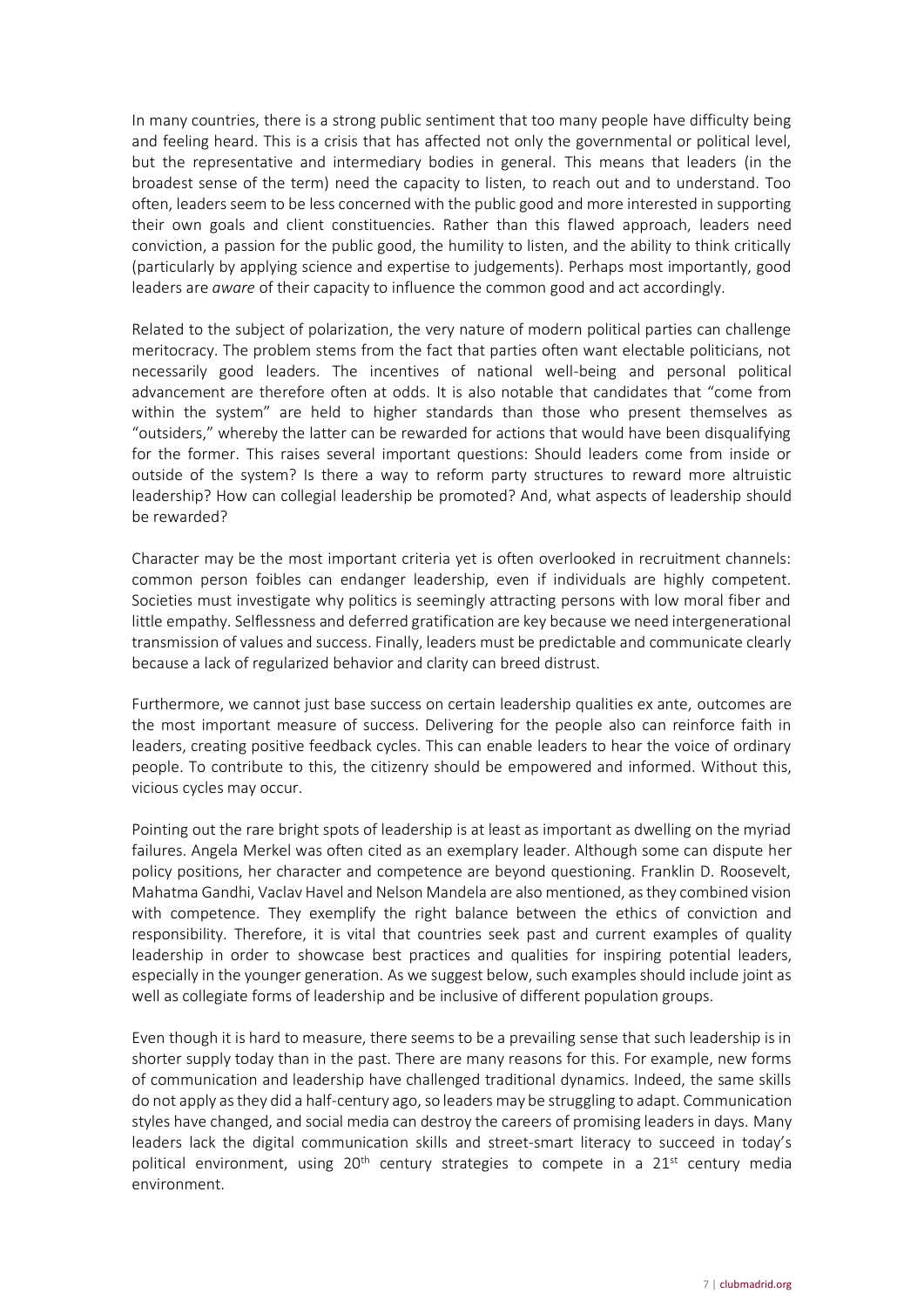In many countries, there is a strong public sentiment that too many people have difficulty being and feeling heard. This is a crisis that has affected not only the governmental or political level, but the representative and intermediary bodies in general. This means that leaders (in the broadest sense of the term) need the capacity to listen, to reach out and to understand. Too often, leaders seem to be less concerned with the public good and more interested in supporting their own goals and client constituencies. Rather than this flawed approach, leaders need conviction, a passion for the public good, the humility to listen, and the ability to think critically (particularly by applying science and expertise to judgements). Perhaps most importantly, good leaders are *aware* of their capacity to influence the common good and act accordingly.

Related to the subject of polarization, the very nature of modern political parties can challenge meritocracy. The problem stems from the fact that parties often want electable politicians, not necessarily good leaders. The incentives of national well-being and personal political advancement are therefore often at odds. It is also notable that candidates that "come from within the system" are held to higher standards than those who present themselves as "outsiders," whereby the latter can be rewarded for actions that would have been disqualifying for the former. This raises several important questions: Should leaders come from inside or outside of the system? Is there a way to reform party structures to reward more altruistic leadership? How can collegial leadership be promoted? And, what aspects of leadership should be rewarded?

Character may be the most important criteria yet is often overlooked in recruitment channels: common person foibles can endanger leadership, even if individuals are highly competent. Societies must investigate why politics is seemingly attracting persons with low moral fiber and little empathy. Selflessness and deferred gratification are key because we need intergenerational transmission of values and success. Finally, leaders must be predictable and communicate clearly because a lack of regularized behavior and clarity can breed distrust.

Furthermore, we cannot just base success on certain leadership qualities ex ante, outcomes are the most important measure of success. Delivering for the people also can reinforce faith in leaders, creating positive feedback cycles. This can enable leaders to hear the voice of ordinary people. To contribute to this, the citizenry should be empowered and informed. Without this, vicious cycles may occur.

Pointing out the rare bright spots of leadership is at least as important as dwelling on the myriad failures. Angela Merkel was often cited as an exemplary leader. Although some can dispute her policy positions, her character and competence are beyond questioning. Franklin D. Roosevelt, Mahatma Gandhi, Vaclav Havel and Nelson Mandela are also mentioned, as they combined vision with competence. They exemplify the right balance between the ethics of conviction and responsibility. Therefore, it is vital that countries seek past and current examples of quality leadership in order to showcase best practices and qualities for inspiring potential leaders, especially in the younger generation. As we suggest below, such examples should include joint as well as collegiate forms of leadership and be inclusive of different population groups.

Even though it is hard to measure, there seems to be a prevailing sense that such leadership is in shorter supply today than in the past. There are many reasons for this. For example, new forms of communication and leadership have challenged traditional dynamics. Indeed, the same skills do not apply as they did a half-century ago, so leaders may be struggling to adapt. Communication styles have changed, and social media can destroy the careers of promising leaders in days. Many leaders lack the digital communication skills and street-smart literacy to succeed in today's political environment, using  $20<sup>th</sup>$  century strategies to compete in a  $21<sup>st</sup>$  century media environment.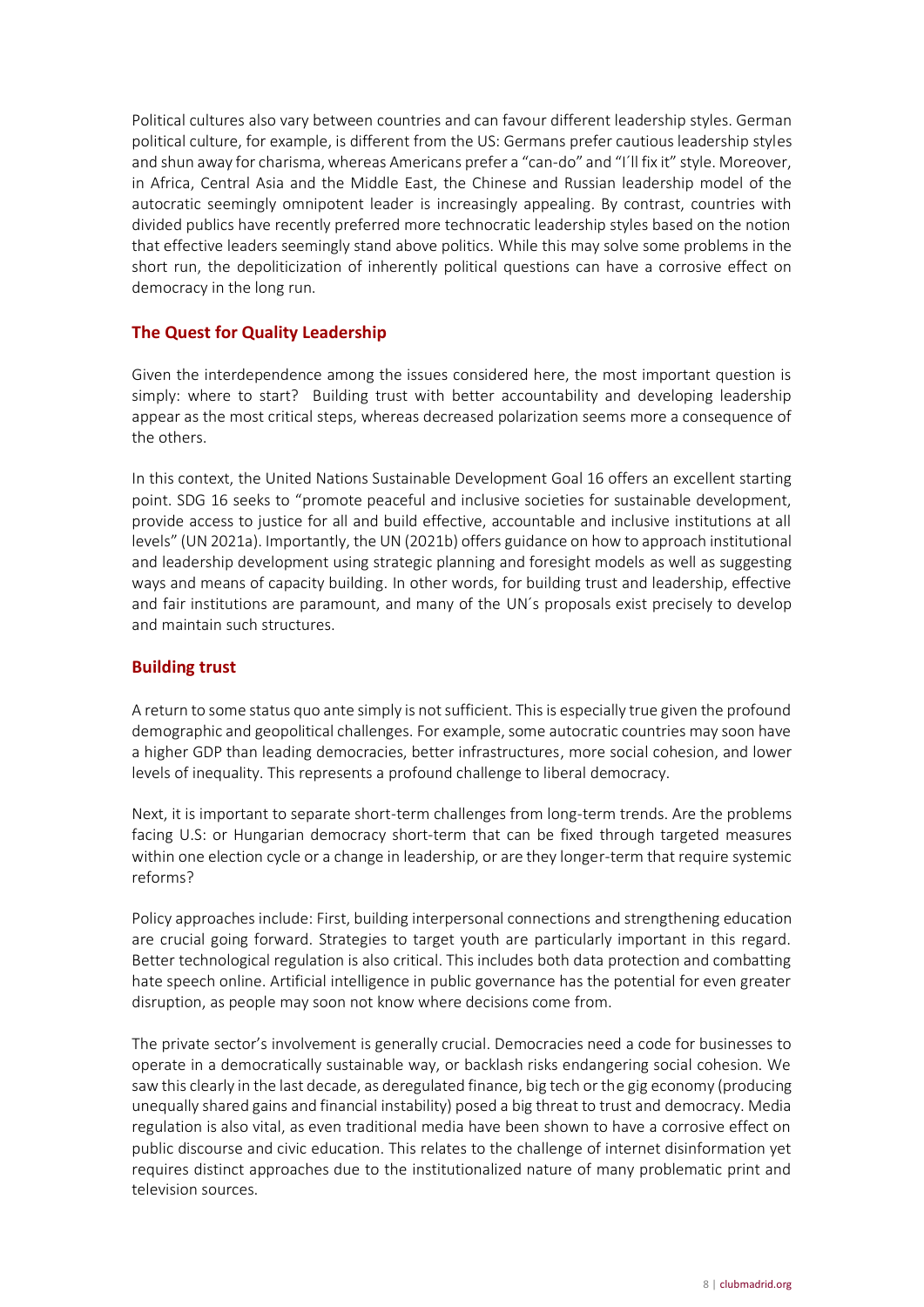Political cultures also vary between countries and can favour different leadership styles. German political culture, for example, is different from the US: Germans prefer cautious leadership styles and shun away for charisma, whereas Americans prefer a "can-do" and "I'll fix it" style. Moreover, in Africa, Central Asia and the Middle East, the Chinese and Russian leadership model of the autocratic seemingly omnipotent leader is increasingly appealing. By contrast, countries with divided publics have recently preferred more technocratic leadership styles based on the notion that effective leaders seemingly stand above politics. While this may solve some problems in the short run, the depoliticization of inherently political questions can have a corrosive effect on democracy in the long run.

## <span id="page-7-0"></span>**The Quest for Quality Leadership**

Given the interdependence among the issues considered here, the most important question is simply: where to start? Building trust with better accountability and developing leadership appear as the most critical steps, whereas decreased polarization seems more a consequence of the others.

In this context, the United Nations Sustainable Development Goal 16 offers an excellent starting point. SDG 16 seeks to "promote peaceful and inclusive societies for sustainable development, provide access to justice for all and build effective, accountable and inclusive institutions at all levels" (UN 2021a). Importantly, the UN (2021b) offers guidance on how to approach institutional and leadership development using strategic planning and foresight models as well as suggesting ways and means of capacity building. In other words, for building trust and leadership, effective and fair institutions are paramount, and many of the UN´s proposals exist precisely to develop and maintain such structures.

## <span id="page-7-1"></span>**Building trust**

A return to some status quo ante simply is not sufficient. This is especially true given the profound demographic and geopolitical challenges. For example, some autocratic countries may soon have a higher GDP than leading democracies, better infrastructures, more social cohesion, and lower levels of inequality. This represents a profound challenge to liberal democracy.

Next, it is important to separate short-term challenges from long-term trends. Are the problems facing U.S: or Hungarian democracy short-term that can be fixed through targeted measures within one election cycle or a change in leadership, or are they longer-term that require systemic reforms?

Policy approaches include: First, building interpersonal connections and strengthening education are crucial going forward. Strategies to target youth are particularly important in this regard. Better technological regulation is also critical. This includes both data protection and combatting hate speech online. Artificial intelligence in public governance has the potential for even greater disruption, as people may soon not know where decisions come from.

The private sector's involvement is generally crucial. Democracies need a code for businesses to operate in a democratically sustainable way, or backlash risks endangering social cohesion. We saw this clearly in the last decade, as deregulated finance, big tech or the gig economy (producing unequally shared gains and financial instability) posed a big threat to trust and democracy. Media regulation is also vital, as even traditional media have been shown to have a corrosive effect on public discourse and civic education. This relates to the challenge of internet disinformation yet requires distinct approaches due to the institutionalized nature of many problematic print and television sources.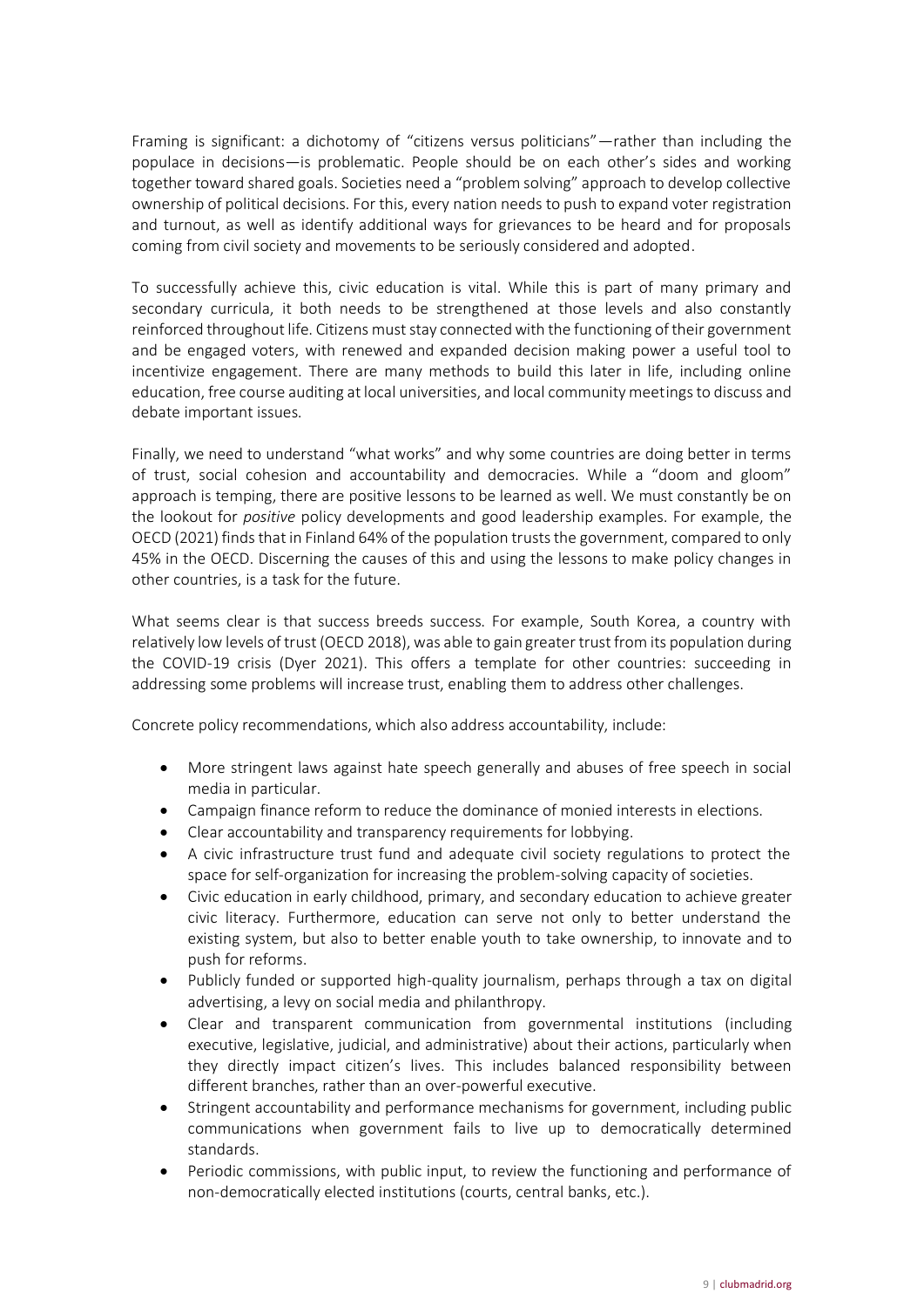Framing is significant: a dichotomy of "citizens versus politicians"—rather than including the populace in decisions—is problematic. People should be on each other's sides and working together toward shared goals. Societies need a "problem solving" approach to develop collective ownership of political decisions. For this, every nation needs to push to expand voter registration and turnout, as well as identify additional ways for grievances to be heard and for proposals coming from civil society and movements to be seriously considered and adopted.

To successfully achieve this, civic education is vital. While this is part of many primary and secondary curricula, it both needs to be strengthened at those levels and also constantly reinforced throughout life. Citizens must stay connected with the functioning of their government and be engaged voters, with renewed and expanded decision making power a useful tool to incentivize engagement. There are many methods to build this later in life, including online education, free course auditing at local universities, and local community meetings to discuss and debate important issues.

Finally, we need to understand "what works" and why some countries are doing better in terms of trust, social cohesion and accountability and democracies. While a "doom and gloom" approach is temping, there are positive lessons to be learned as well. We must constantly be on the lookout for *positive* policy developments and good leadership examples. For example, the OECD (2021) finds that in Finland 64% of the population trusts the government, compared to only 45% in the OECD. Discerning the causes of this and using the lessons to make policy changes in other countries, is a task for the future.

What seems clear is that success breeds success. For example, South Korea, a country with relatively low levels of trust (OECD 2018), was able to gain greater trust from its population during the COVID-19 crisis (Dyer 2021). This offers a template for other countries: succeeding in addressing some problems will increase trust, enabling them to address other challenges.

Concrete policy recommendations, which also address accountability, include:

- More stringent laws against hate speech generally and abuses of free speech in social media in particular.
- Campaign finance reform to reduce the dominance of monied interests in elections.
- Clear accountability and transparency requirements for lobbying.
- A civic infrastructure trust fund and adequate civil society regulations to protect the space for self-organization for increasing the problem-solving capacity of societies.
- Civic education in early childhood, primary, and secondary education to achieve greater civic literacy. Furthermore, education can serve not only to better understand the existing system, but also to better enable youth to take ownership, to innovate and to push for reforms.
- Publicly funded or supported high-quality journalism, perhaps through a tax on digital advertising, a levy on social media and philanthropy.
- Clear and transparent communication from governmental institutions (including executive, legislative, judicial, and administrative) about their actions, particularly when they directly impact citizen's lives. This includes balanced responsibility between different branches, rather than an over-powerful executive.
- Stringent accountability and performance mechanisms for government, including public communications when government fails to live up to democratically determined standards.
- Periodic commissions, with public input, to review the functioning and performance of non-democratically elected institutions (courts, central banks, etc.).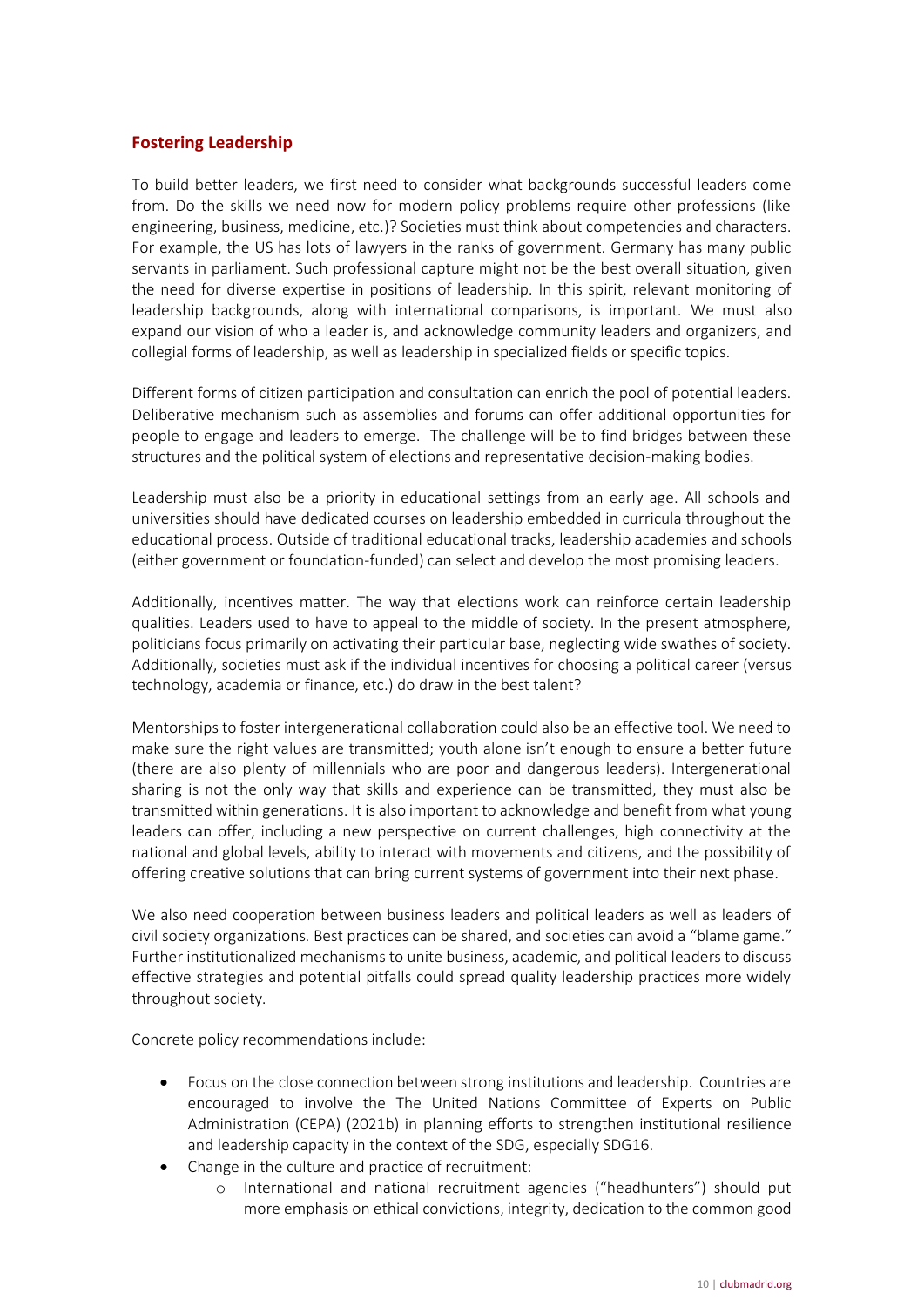## <span id="page-9-0"></span>**Fostering Leadership**

To build better leaders, we first need to consider what backgrounds successful leaders come from. Do the skills we need now for modern policy problems require other professions (like engineering, business, medicine, etc.)? Societies must think about competencies and characters. For example, the US has lots of lawyers in the ranks of government. Germany has many public servants in parliament. Such professional capture might not be the best overall situation, given the need for diverse expertise in positions of leadership. In this spirit, relevant monitoring of leadership backgrounds, along with international comparisons, is important. We must also expand our vision of who a leader is, and acknowledge community leaders and organizers, and collegial forms of leadership, as well as leadership in specialized fields or specific topics.

Different forms of citizen participation and consultation can enrich the pool of potential leaders. Deliberative mechanism such as assemblies and forums can offer additional opportunities for people to engage and leaders to emerge. The challenge will be to find bridges between these structures and the political system of elections and representative decision-making bodies.

Leadership must also be a priority in educational settings from an early age. All schools and universities should have dedicated courses on leadership embedded in curricula throughout the educational process. Outside of traditional educational tracks, leadership academies and schools (either government or foundation-funded) can select and develop the most promising leaders.

Additionally, incentives matter. The way that elections work can reinforce certain leadership qualities. Leaders used to have to appeal to the middle of society. In the present atmosphere, politicians focus primarily on activating their particular base, neglecting wide swathes of society. Additionally, societies must ask if the individual incentives for choosing a political career (versus technology, academia or finance, etc.) do draw in the best talent?

Mentorships to foster intergenerational collaboration could also be an effective tool. We need to make sure the right values are transmitted; youth alone isn't enough to ensure a better future (there are also plenty of millennials who are poor and dangerous leaders). Intergenerational sharing is not the only way that skills and experience can be transmitted, they must also be transmitted within generations. It is also important to acknowledge and benefit from what young leaders can offer, including a new perspective on current challenges, high connectivity at the national and global levels, ability to interact with movements and citizens, and the possibility of offering creative solutions that can bring current systems of government into their next phase.

We also need cooperation between business leaders and political leaders as well as leaders of civil society organizations. Best practices can be shared, and societies can avoid a "blame game." Further institutionalized mechanisms to unite business, academic, and political leaders to discuss effective strategies and potential pitfalls could spread quality leadership practices more widely throughout society.

Concrete policy recommendations include:

- Focus on the close connection between strong institutions and leadership. Countries are encouraged to involve the The United Nations Committee of Experts on Public Administration (CEPA) (2021b) in planning efforts to strengthen institutional resilience and leadership capacity in the context of the SDG, especially SDG16.
- Change in the culture and practice of recruitment:
	- o International and national recruitment agencies ("headhunters") should put more emphasis on ethical convictions, integrity, dedication to the common good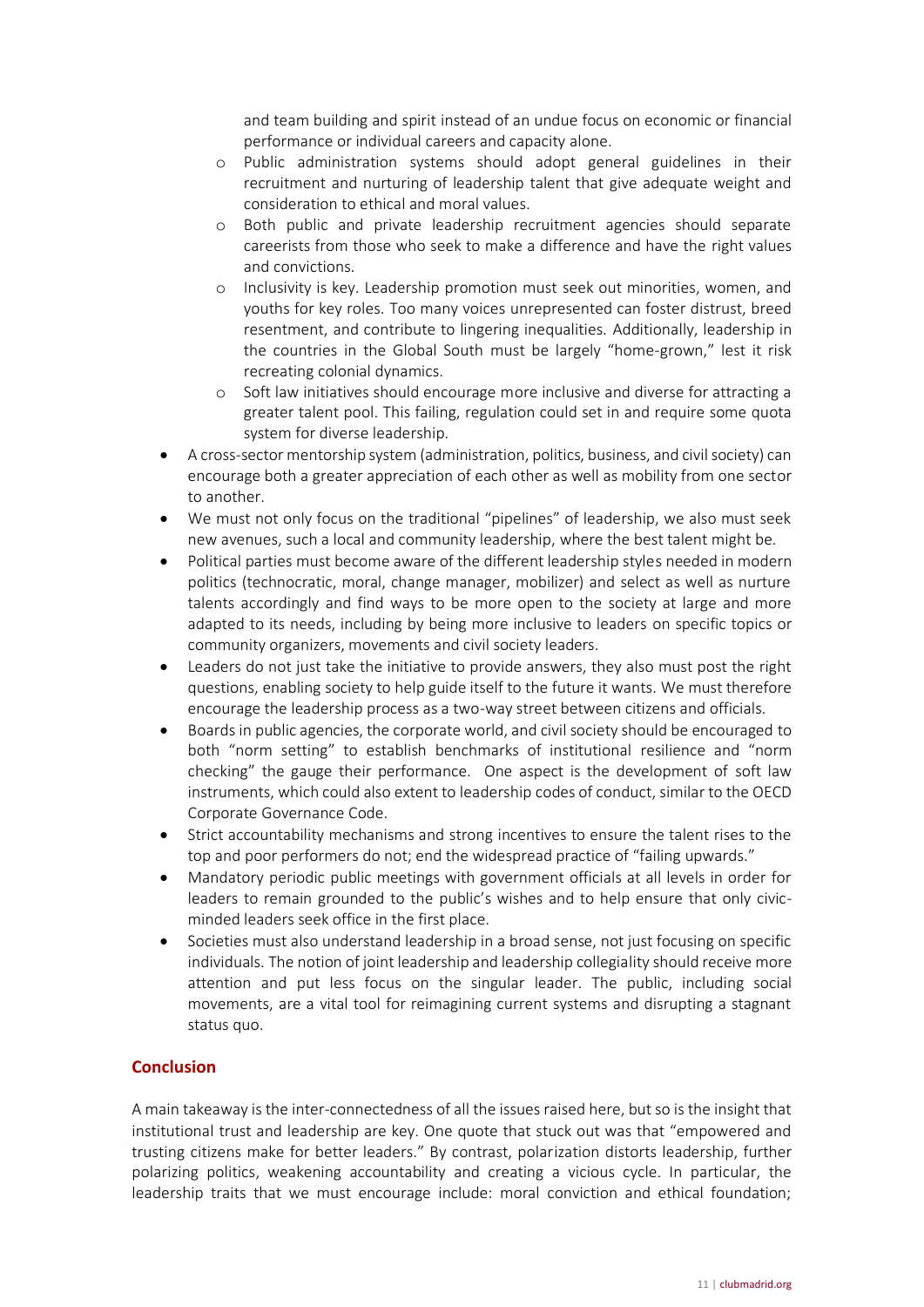and team building and spirit instead of an undue focus on economic or financial performance or individual careers and capacity alone.

- o Public administration systems should adopt general guidelines in their recruitment and nurturing of leadership talent that give adequate weight and consideration to ethical and moral values.
- o Both public and private leadership recruitment agencies should separate careerists from those who seek to make a difference and have the right values and convictions.
- o Inclusivity is key. Leadership promotion must seek out minorities, women, and youths for key roles. Too many voices unrepresented can foster distrust, breed resentment, and contribute to lingering inequalities. Additionally, leadership in the countries in the Global South must be largely "home-grown," lest it risk recreating colonial dynamics.
- o Soft law initiatives should encourage more inclusive and diverse for attracting a greater talent pool. This failing, regulation could set in and require some quota system for diverse leadership.
- A cross-sector mentorship system (administration, politics, business, and civil society) can encourage both a greater appreciation of each other as well as mobility from one sector to another.
- We must not only focus on the traditional "pipelines" of leadership, we also must seek new avenues, such a local and community leadership, where the best talent might be.
- Political parties must become aware of the different leadership styles needed in modern politics (technocratic, moral, change manager, mobilizer) and select as well as nurture talents accordingly and find ways to be more open to the society at large and more adapted to its needs, including by being more inclusive to leaders on specific topics or community organizers, movements and civil society leaders.
- Leaders do not just take the initiative to provide answers, they also must post the right questions, enabling society to help guide itself to the future it wants. We must therefore encourage the leadership process as a two-way street between citizens and officials.
- Boards in public agencies, the corporate world, and civil society should be encouraged to both "norm setting" to establish benchmarks of institutional resilience and "norm checking" the gauge their performance. One aspect is the development of soft law instruments, which could also extent to leadership codes of conduct, similar to the OECD Corporate Governance Code.
- Strict accountability mechanisms and strong incentives to ensure the talent rises to the top and poor performers do not; end the widespread practice of "failing upwards."
- Mandatory periodic public meetings with government officials at all levels in order for leaders to remain grounded to the public's wishes and to help ensure that only civicminded leaders seek office in the first place.
- Societies must also understand leadership in a broad sense, not just focusing on specific individuals. The notion of joint leadership and leadership collegiality should receive more attention and put less focus on the singular leader. The public, including social movements, are a vital tool for reimagining current systems and disrupting a stagnant status quo.

## <span id="page-10-0"></span>**Conclusion**

A main takeaway is the inter-connectedness of all the issues raised here, but so is the insight that institutional trust and leadership are key. One quote that stuck out was that "empowered and trusting citizens make for better leaders." By contrast, polarization distorts leadership, further polarizing politics, weakening accountability and creating a vicious cycle. In particular, the leadership traits that we must encourage include: moral conviction and ethical foundation;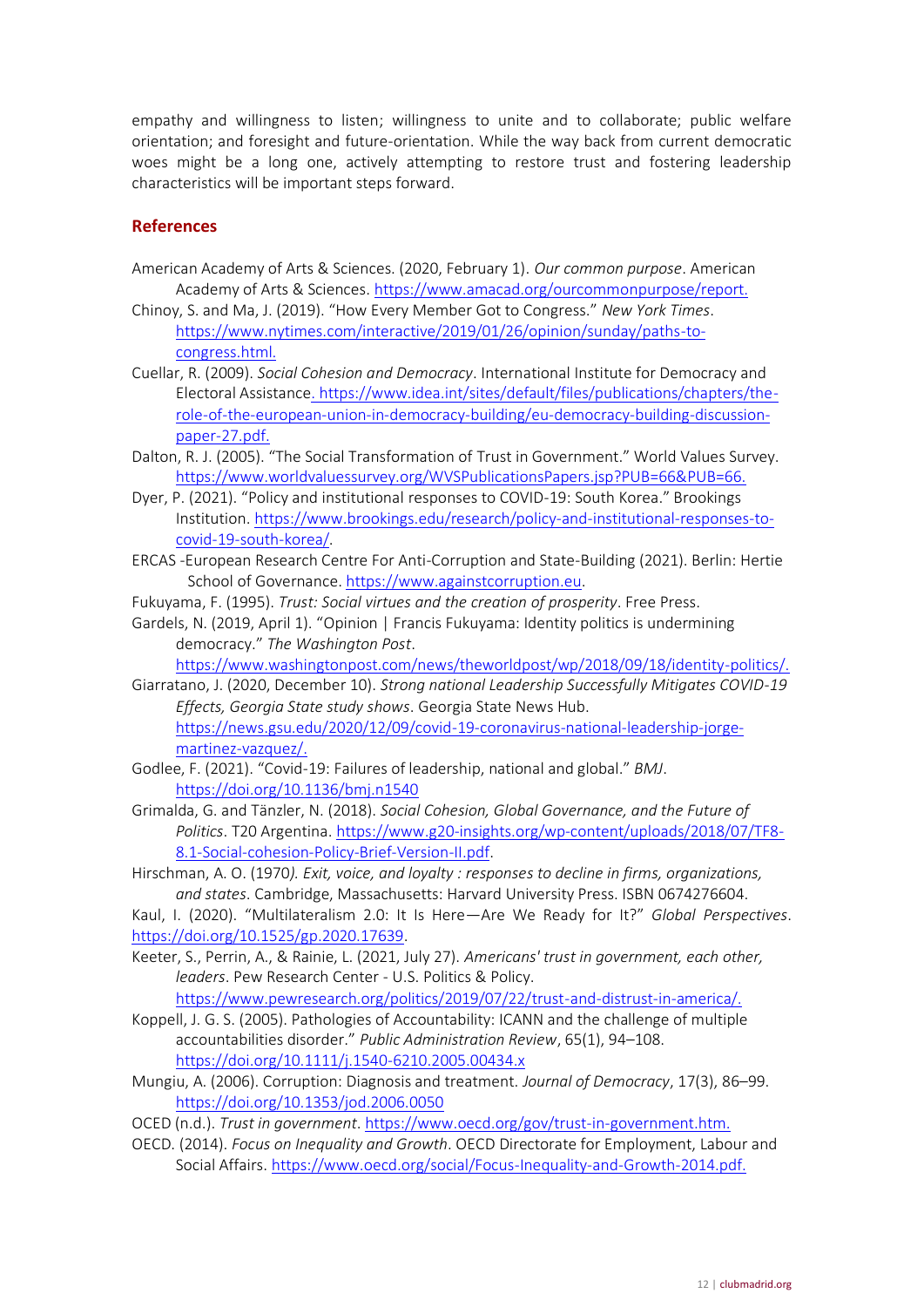empathy and willingness to listen; willingness to unite and to collaborate; public welfare orientation; and foresight and future-orientation. While the way back from current democratic woes might be a long one, actively attempting to restore trust and fostering leadership characteristics will be important steps forward.

## <span id="page-11-0"></span>**References**

- American Academy of Arts & Sciences. (2020, February 1). *Our common purpose*. American Academy of Arts & Sciences.<https://www.amacad.org/ourcommonpurpose/report.>
- Chinoy, S. and Ma, J. (2019). "How Every Member Got to Congress." *New York Times*. [https://www.nytimes.com/interactive/2019/01/26/opinion/sunday/paths-to](https://www.nytimes.com/interactive/2019/01/26/opinion/sunday/paths-to-congress.html.)[congress.html.](https://www.nytimes.com/interactive/2019/01/26/opinion/sunday/paths-to-congress.html.)
- Cuellar, R. (2009). *Social Cohesion and Democracy*. International Institute for Democracy and Electoral Assistanc[e. https://www.idea.int/sites/default/files/publications/chapters/the](file:///C:/Users/Usuario/AppData/Roaming/Microsoft/Word/.%20https:/www.idea.int/sites/default/files/publications/chapters/the-role-of-the-european-union-in-democracy-building/eu-democracy-building-discussion-paper-27.pdf)[role-of-the-european-union-in-democracy-building/eu-democracy-building-discussion](file:///C:/Users/Usuario/AppData/Roaming/Microsoft/Word/.%20https:/www.idea.int/sites/default/files/publications/chapters/the-role-of-the-european-union-in-democracy-building/eu-democracy-building-discussion-paper-27.pdf)[paper-27.pdf.](file:///C:/Users/Usuario/AppData/Roaming/Microsoft/Word/.%20https:/www.idea.int/sites/default/files/publications/chapters/the-role-of-the-european-union-in-democracy-building/eu-democracy-building-discussion-paper-27.pdf)
- Dalton, R. J. (2005). "The Social Transformation of Trust in Government." World Values Survey. [https://www.worldvaluessurvey.org/WVSPublicationsPapers.jsp?PUB=66&PUB=66.](https://www.worldvaluessurvey.org/WVSPublicationsPapers.jsp?PUB=66&PUB=66.%20)
- Dyer, P. (2021). "Policy and institutional responses to COVID-19: South Korea." Brookings Institution. [https://www.brookings.edu/research/policy-and-institutional-responses-to](https://www.brookings.edu/research/policy-and-institutional-responses-to-covid-19-south-korea/)[covid-19-south-korea/.](https://www.brookings.edu/research/policy-and-institutional-responses-to-covid-19-south-korea/)
- ERCAS -European Research Centre For Anti-Corruption and State-Building (2021). Berlin: Hertie School of Governance. [https://www.againstcorruption.eu.](https://www.againstcorruption.eu/)
- Fukuyama, F. (1995). *Trust: Social virtues and the creation of prosperity*. Free Press.
- Gardels, N. (2019, April 1). "Opinion | Francis Fukuyama: Identity politics is undermining democracy." *The Washington Post*.

[https://www.washingtonpost.com/news/theworldpost/wp/2018/09/18/identity-politics/.](https://www.washingtonpost.com/news/theworldpost/wp/2018/09/18/identity-politics/)

- Giarratano, J. (2020, December 10). *Strong national Leadership Successfully Mitigates COVID-19 Effects, Georgia State study shows*. Georgia State News Hub. [https://news.gsu.edu/2020/12/09/covid-19-coronavirus-national-leadership-jorge](https://news.gsu.edu/2020/12/09/covid-19-coronavirus-national-leadership-jorge-martinez-vazquez/)[martinez-vazquez/.](https://news.gsu.edu/2020/12/09/covid-19-coronavirus-national-leadership-jorge-martinez-vazquez/)
- Godlee, F. (2021). "Covid-19: Failures of leadership, national and global." *BMJ*. <https://doi.org/10.1136/bmj.n1540>
- Grimalda, G. and Tänzler, N. (2018). *Social Cohesion, Global Governance, and the Future of Politics*. T20 Argentina. [https://www.g20-insights.org/wp-content/uploads/2018/07/TF8-](https://www.g20-insights.org/wp-content/uploads/2018/07/TF8-8.1-Social-cohesion-Policy-Brief-Version-II.pdf) [8.1-Social-cohesion-Policy-Brief-Version-II.pdf.](https://www.g20-insights.org/wp-content/uploads/2018/07/TF8-8.1-Social-cohesion-Policy-Brief-Version-II.pdf)
- Hirschman, A. O. (1970*). Exit, voice, and loyalty : responses to decline in firms, organizations, and states*. Cambridge, Massachusetts: Harvard University Press. ISBN 0674276604.

Kaul, I. (2020). "Multilateralism 2.0: It Is Here—Are We Ready for It?" *Global Perspectives*. [https://doi.org/10.1525/gp.2020.17639.](https://doi.org/10.1525/gp.2020.17639)

Keeter, S., Perrin, A., & Rainie, L. (2021, July 27). *Americans' trust in government, each other, leaders*. Pew Research Center - U.S. Politics & Policy.

[https://www.pewresearch.org/politics/2019/07/22/trust-and-distrust-in-america/.](https://www.pewresearch.org/politics/2019/07/22/trust-and-distrust-in-america/)

- Koppell, J. G. S. (2005). Pathologies of Accountability: ICANN and the challenge of multiple accountabilities disorder." *Public Administration Review*, 65(1), 94–108. <https://doi.org/10.1111/j.1540-6210.2005.00434.x>
- Mungiu, A. (2006). Corruption: Diagnosis and treatment. *Journal of Democracy*, 17(3), 86–99. <https://doi.org/10.1353/jod.2006.0050>
- OCED (n.d.). *Trust in government*.<https://www.oecd.org/gov/trust-in-government.htm.>
- OECD. (2014). *Focus on Inequality and Growth*. OECD Directorate for Employment, Labour and Social Affairs.<https://www.oecd.org/social/Focus-Inequality-and-Growth-2014.pdf.>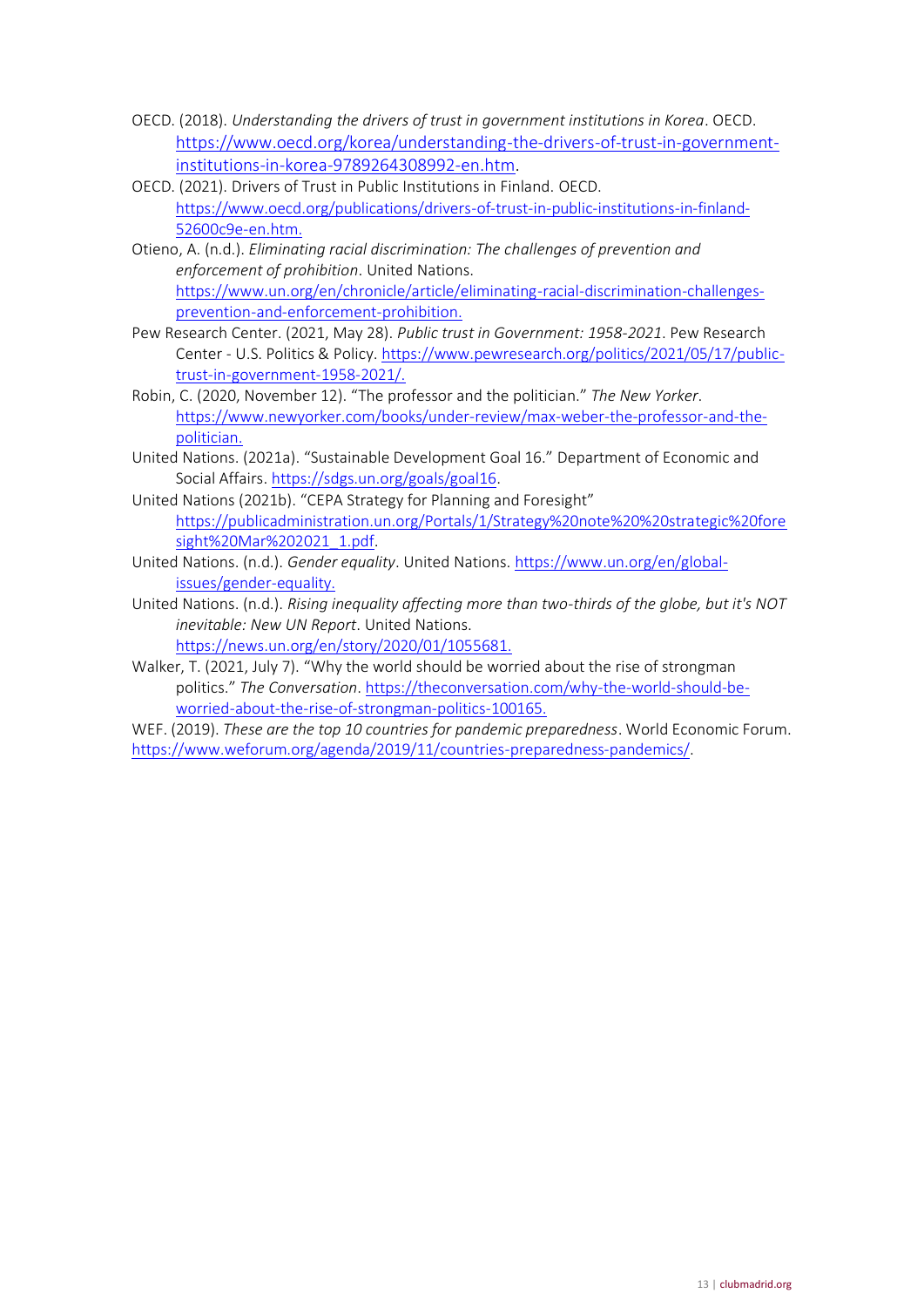- OECD. (2018). *Understanding the drivers of trust in government institutions in Korea*. OECD. [https://www.oecd.org/korea/understanding-the-drivers-of-trust-in-government](https://www.oecd.org/korea/understanding-the-drivers-of-trust-in-government-institutions-in-korea-9789264308992-en.htm)[institutions-in-korea-9789264308992-en.htm.](https://www.oecd.org/korea/understanding-the-drivers-of-trust-in-government-institutions-in-korea-9789264308992-en.htm)
- OECD. (2021). Drivers of Trust in Public Institutions in Finland. OECD. [https://www.oecd.org/publications/drivers-of-trust-in-public-institutions-in-finland-](https://www.oecd.org/publications/drivers-of-trust-in-public-institutions-in-finland-52600c9e-en.htm.)[52600c9e-en.htm.](https://www.oecd.org/publications/drivers-of-trust-in-public-institutions-in-finland-52600c9e-en.htm.)
- Otieno, A. (n.d.). *Eliminating racial discrimination: The challenges of prevention and enforcement of prohibition*. United Nations. [https://www.un.org/en/chronicle/article/eliminating-racial-discrimination-challenges](https://www.un.org/en/chronicle/article/eliminating-racial-discrimination-challenges-prevention-and-enforcement-prohibition.)[prevention-and-enforcement-prohibition.](https://www.un.org/en/chronicle/article/eliminating-racial-discrimination-challenges-prevention-and-enforcement-prohibition.)
- Pew Research Center. (2021, May 28). *Public trust in Government: 1958-2021*. Pew Research Center - U.S. Politics & Policy. [https://www.pewresearch.org/politics/2021/05/17/public](https://www.pewresearch.org/politics/2021/05/17/public-trust-in-government-1958-2021/)[trust-in-government-1958-2021/.](https://www.pewresearch.org/politics/2021/05/17/public-trust-in-government-1958-2021/)
- Robin, C. (2020, November 12). "The professor and the politician." *The New Yorker*. [https://www.newyorker.com/books/under-review/max-weber-the-professor-and-the](https://www.newyorker.com/books/under-review/max-weber-the-professor-and-the-politician.)[politician.](https://www.newyorker.com/books/under-review/max-weber-the-professor-and-the-politician.)
- United Nations. (2021a). "Sustainable Development Goal 16." Department of Economic and Social Affairs. [https://sdgs.un.org/goals/goal16.](https://sdgs.un.org/goals/goal16)
- United Nations (2021b). "CEPA Strategy for Planning and Foresight" [https://publicadministration.un.org/Portals/1/Strategy%20note%20%20strategic%20fore](https://publicadministration.un.org/Portals/1/Strategy%20note%20%20strategic%20foresight%20Mar%202021_1.pdf) [sight%20Mar%202021\\_1.pdf.](https://publicadministration.un.org/Portals/1/Strategy%20note%20%20strategic%20foresight%20Mar%202021_1.pdf)
- United Nations. (n.d.). *Gender equality*. United Nations[. https://www.un.org/en/global](https://www.un.org/en/global-issues/gender-equality.)[issues/gender-equality.](https://www.un.org/en/global-issues/gender-equality.)
- United Nations. (n.d.). *Rising inequality affecting more than two-thirds of the globe, but it's NOT inevitable: New UN Report*. United Nations.

<https://news.un.org/en/story/2020/01/1055681.>

- Walker, T. (2021, July 7). "Why the world should be worried about the rise of strongman politics." *The Conversation*[. https://theconversation.com/why-the-world-should-be](https://theconversation.com/why-the-world-should-be-worried-about-the-rise-of-strongman-politics-100165.)[worried-about-the-rise-of-strongman-politics-100165.](https://theconversation.com/why-the-world-should-be-worried-about-the-rise-of-strongman-politics-100165.)
- WEF. (2019). *These are the top 10 countries for pandemic preparedness*. World Economic Forum. [https://www.weforum.org/agenda/2019/11/countries-preparedness-pandemics/.](https://www.weforum.org/agenda/2019/11/countries-preparedness-pandemics/)